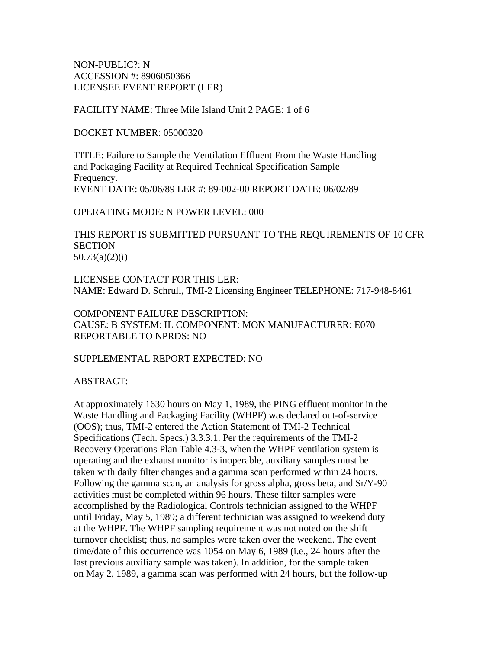NON-PUBLIC?: N ACCESSION #: 8906050366 LICENSEE EVENT REPORT (LER)

FACILITY NAME: Three Mile Island Unit 2 PAGE: 1 of 6

DOCKET NUMBER: 05000320

TITLE: Failure to Sample the Ventilation Effluent From the Waste Handling and Packaging Facility at Required Technical Specification Sample Frequency. EVENT DATE: 05/06/89 LER #: 89-002-00 REPORT DATE: 06/02/89

OPERATING MODE: N POWER LEVEL: 000

THIS REPORT IS SUBMITTED PURSUANT TO THE REQUIREMENTS OF 10 CFR **SECTION** 50.73(a)(2)(i)

LICENSEE CONTACT FOR THIS LER: NAME: Edward D. Schrull, TMI-2 Licensing Engineer TELEPHONE: 717-948-8461

COMPONENT FAILURE DESCRIPTION: CAUSE: B SYSTEM: IL COMPONENT: MON MANUFACTURER: E070 REPORTABLE TO NPRDS: NO

SUPPLEMENTAL REPORT EXPECTED: NO

ABSTRACT:

At approximately 1630 hours on May 1, 1989, the PING effluent monitor in the Waste Handling and Packaging Facility (WHPF) was declared out-of-service (OOS); thus, TMI-2 entered the Action Statement of TMI-2 Technical Specifications (Tech. Specs.) 3.3.3.1. Per the requirements of the TMI-2 Recovery Operations Plan Table 4.3-3, when the WHPF ventilation system is operating and the exhaust monitor is inoperable, auxiliary samples must be taken with daily filter changes and a gamma scan performed within 24 hours. Following the gamma scan, an analysis for gross alpha, gross beta, and  $Sr/Y-90$ activities must be completed within 96 hours. These filter samples were accomplished by the Radiological Controls technician assigned to the WHPF until Friday, May 5, 1989; a different technician was assigned to weekend duty at the WHPF. The WHPF sampling requirement was not noted on the shift turnover checklist; thus, no samples were taken over the weekend. The event time/date of this occurrence was 1054 on May 6, 1989 (i.e., 24 hours after the last previous auxiliary sample was taken). In addition, for the sample taken on May 2, 1989, a gamma scan was performed with 24 hours, but the follow-up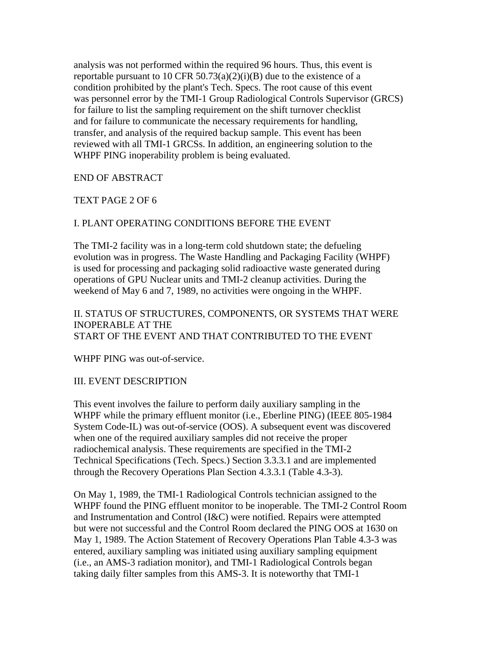analysis was not performed within the required 96 hours. Thus, this event is reportable pursuant to 10 CFR 50.73(a)(2)(i)(B) due to the existence of a condition prohibited by the plant's Tech. Specs. The root cause of this event was personnel error by the TMI-1 Group Radiological Controls Supervisor (GRCS) for failure to list the sampling requirement on the shift turnover checklist and for failure to communicate the necessary requirements for handling, transfer, and analysis of the required backup sample. This event has been reviewed with all TMI-1 GRCSs. In addition, an engineering solution to the WHPF PING inoperability problem is being evaluated.

#### END OF ABSTRACT

#### TEXT PAGE 2 OF 6

## I. PLANT OPERATING CONDITIONS BEFORE THE EVENT

The TMI-2 facility was in a long-term cold shutdown state; the defueling evolution was in progress. The Waste Handling and Packaging Facility (WHPF) is used for processing and packaging solid radioactive waste generated during operations of GPU Nuclear units and TMI-2 cleanup activities. During the weekend of May 6 and 7, 1989, no activities were ongoing in the WHPF.

## II. STATUS OF STRUCTURES, COMPONENTS, OR SYSTEMS THAT WERE INOPERABLE AT THE START OF THE EVENT AND THAT CONTRIBUTED TO THE EVENT

#### WHPF PING was out-of-service.

#### III. EVENT DESCRIPTION

This event involves the failure to perform daily auxiliary sampling in the WHPF while the primary effluent monitor (i.e., Eberline PING) (IEEE 805-1984 System Code-IL) was out-of-service (OOS). A subsequent event was discovered when one of the required auxiliary samples did not receive the proper radiochemical analysis. These requirements are specified in the TMI-2 Technical Specifications (Tech. Specs.) Section 3.3.3.1 and are implemented through the Recovery Operations Plan Section 4.3.3.1 (Table 4.3-3).

On May 1, 1989, the TMI-1 Radiological Controls technician assigned to the WHPF found the PING effluent monitor to be inoperable. The TMI-2 Control Room and Instrumentation and Control (I&C) were notified. Repairs were attempted but were not successful and the Control Room declared the PING OOS at 1630 on May 1, 1989. The Action Statement of Recovery Operations Plan Table 4.3-3 was entered, auxiliary sampling was initiated using auxiliary sampling equipment (i.e., an AMS-3 radiation monitor), and TMI-1 Radiological Controls began taking daily filter samples from this AMS-3. It is noteworthy that TMI-1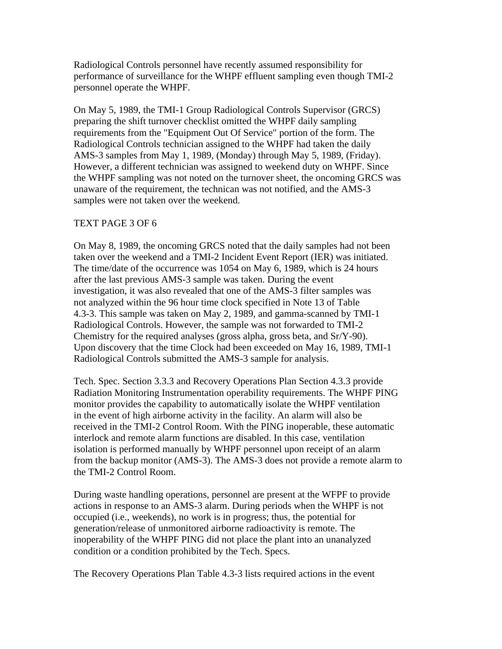Radiological Controls personnel have recently assumed responsibility for performance of surveillance for the WHPF effluent sampling even though TMI-2 personnel operate the WHPF.

On May 5, 1989, the TMI-1 Group Radiological Controls Supervisor (GRCS) preparing the shift turnover checklist omitted the WHPF daily sampling requirements from the "Equipment Out Of Service" portion of the form. The Radiological Controls technician assigned to the WHPF had taken the daily AMS-3 samples from May 1, 1989, (Monday) through May 5, 1989, (Friday). However, a different technician was assigned to weekend duty on WHPF. Since the WHPF sampling was not noted on the turnover sheet, the oncoming GRCS was unaware of the requirement, the technican was not notified, and the AMS-3 samples were not taken over the weekend.

## TEXT PAGE 3 OF 6

On May 8, 1989, the oncoming GRCS noted that the daily samples had not been taken over the weekend and a TMI-2 Incident Event Report (IER) was initiated. The time/date of the occurrence was 1054 on May 6, 1989, which is 24 hours after the last previous AMS-3 sample was taken. During the event investigation, it was also revealed that one of the AMS-3 filter samples was not analyzed within the 96 hour time clock specified in Note 13 of Table 4.3-3. This sample was taken on May 2, 1989, and gamma-scanned by TMI-1 Radiological Controls. However, the sample was not forwarded to TMI-2 Chemistry for the required analyses (gross alpha, gross beta, and Sr/Y-90). Upon discovery that the time Clock had been exceeded on May 16, 1989, TMI-1 Radiological Controls submitted the AMS-3 sample for analysis.

Tech. Spec. Section 3.3.3 and Recovery Operations Plan Section 4.3.3 provide Radiation Monitoring Instrumentation operability requirements. The WHPF PING monitor provides the capability to automatically isolate the WHPF ventilation in the event of high airborne activity in the facility. An alarm will also be received in the TMI-2 Control Room. With the PING inoperable, these automatic interlock and remote alarm functions are disabled. In this case, ventilation isolation is performed manually by WHPF personnel upon receipt of an alarm from the backup monitor (AMS-3). The AMS-3 does not provide a remote alarm to the TMI-2 Control Room.

During waste handling operations, personnel are present at the WFPF to provide actions in response to an AMS-3 alarm. During periods when the WHPF is not occupied (i.e., weekends), no work is in progress; thus, the potential for generation/release of unmonitored airborne radioactivity is remote. The inoperability of the WHPF PING did not place the plant into an unanalyzed condition or a condition prohibited by the Tech. Specs.

The Recovery Operations Plan Table 4.3-3 lists required actions in the event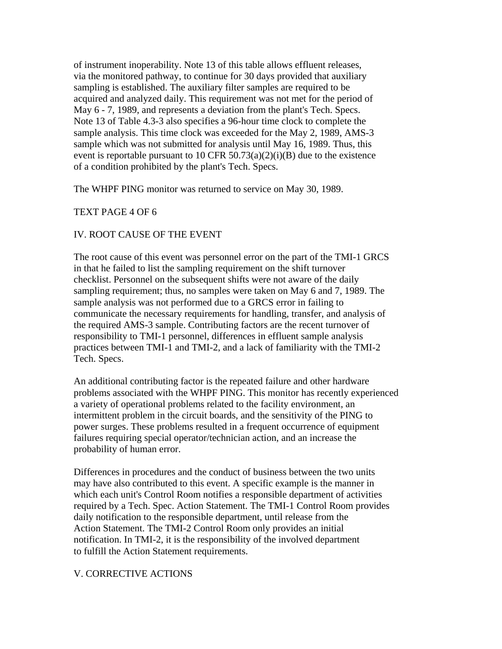of instrument inoperability. Note 13 of this table allows effluent releases, via the monitored pathway, to continue for 30 days provided that auxiliary sampling is established. The auxiliary filter samples are required to be acquired and analyzed daily. This requirement was not met for the period of May 6 - 7, 1989, and represents a deviation from the plant's Tech. Specs. Note 13 of Table 4.3-3 also specifies a 96-hour time clock to complete the sample analysis. This time clock was exceeded for the May 2, 1989, AMS-3 sample which was not submitted for analysis until May 16, 1989. Thus, this event is reportable pursuant to 10 CFR  $50.73(a)(2)(i)(B)$  due to the existence of a condition prohibited by the plant's Tech. Specs.

The WHPF PING monitor was returned to service on May 30, 1989.

## TEXT PAGE 4 OF 6

## IV. ROOT CAUSE OF THE EVENT

The root cause of this event was personnel error on the part of the TMI-1 GRCS in that he failed to list the sampling requirement on the shift turnover checklist. Personnel on the subsequent shifts were not aware of the daily sampling requirement; thus, no samples were taken on May 6 and 7, 1989. The sample analysis was not performed due to a GRCS error in failing to communicate the necessary requirements for handling, transfer, and analysis of the required AMS-3 sample. Contributing factors are the recent turnover of responsibility to TMI-1 personnel, differences in effluent sample analysis practices between TMI-1 and TMI-2, and a lack of familiarity with the TMI-2 Tech. Specs.

An additional contributing factor is the repeated failure and other hardware problems associated with the WHPF PING. This monitor has recently experienced a variety of operational problems related to the facility environment, an intermittent problem in the circuit boards, and the sensitivity of the PING to power surges. These problems resulted in a frequent occurrence of equipment failures requiring special operator/technician action, and an increase the probability of human error.

Differences in procedures and the conduct of business between the two units may have also contributed to this event. A specific example is the manner in which each unit's Control Room notifies a responsible department of activities required by a Tech. Spec. Action Statement. The TMI-1 Control Room provides daily notification to the responsible department, until release from the Action Statement. The TMI-2 Control Room only provides an initial notification. In TMI-2, it is the responsibility of the involved department to fulfill the Action Statement requirements.

#### V. CORRECTIVE ACTIONS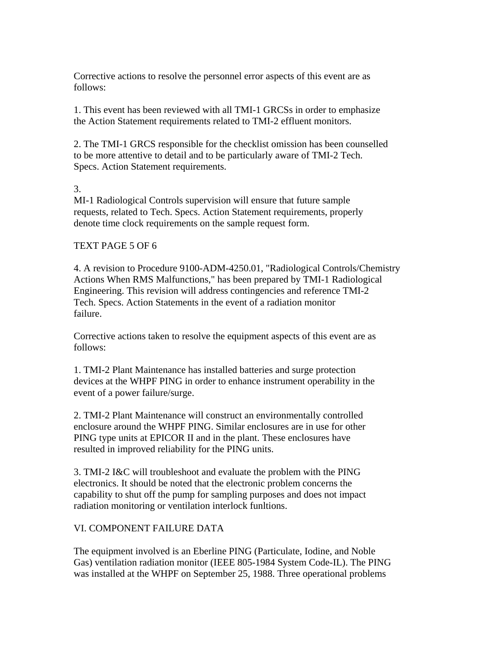Corrective actions to resolve the personnel error aspects of this event are as follows:

1. This event has been reviewed with all TMI-1 GRCSs in order to emphasize the Action Statement requirements related to TMI-2 effluent monitors.

2. The TMI-1 GRCS responsible for the checklist omission has been counselled to be more attentive to detail and to be particularly aware of TMI-2 Tech. Specs. Action Statement requirements.

## 3.

MI-1 Radiological Controls supervision will ensure that future sample requests, related to Tech. Specs. Action Statement requirements, properly denote time clock requirements on the sample request form.

## TEXT PAGE 5 OF 6

4. A revision to Procedure 9100-ADM-4250.01, "Radiological Controls/Chemistry Actions When RMS Malfunctions," has been prepared by TMI-1 Radiological Engineering. This revision will address contingencies and reference TMI-2 Tech. Specs. Action Statements in the event of a radiation monitor failure.

Corrective actions taken to resolve the equipment aspects of this event are as follows:

1. TMI-2 Plant Maintenance has installed batteries and surge protection devices at the WHPF PING in order to enhance instrument operability in the event of a power failure/surge.

2. TMI-2 Plant Maintenance will construct an environmentally controlled enclosure around the WHPF PING. Similar enclosures are in use for other PING type units at EPICOR II and in the plant. These enclosures have resulted in improved reliability for the PING units.

3. TMI-2 I&C will troubleshoot and evaluate the problem with the PING electronics. It should be noted that the electronic problem concerns the capability to shut off the pump for sampling purposes and does not impact radiation monitoring or ventilation interlock funltions.

# VI. COMPONENT FAILURE DATA

The equipment involved is an Eberline PING (Particulate, Iodine, and Noble Gas) ventilation radiation monitor (IEEE 805-1984 System Code-IL). The PING was installed at the WHPF on September 25, 1988. Three operational problems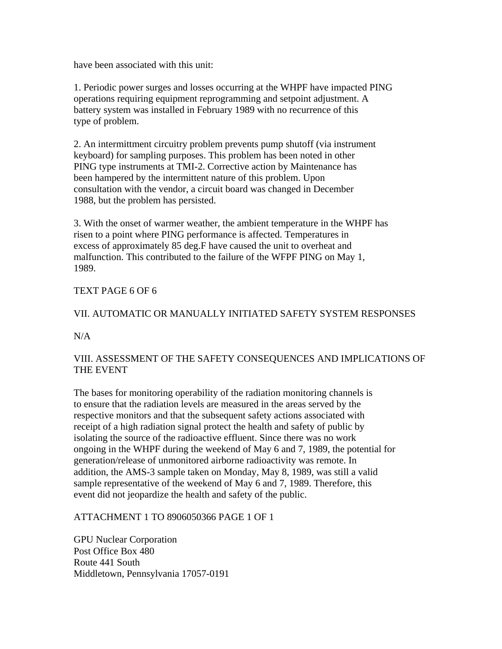have been associated with this unit:

1. Periodic power surges and losses occurring at the WHPF have impacted PING operations requiring equipment reprogramming and setpoint adjustment. A battery system was installed in February 1989 with no recurrence of this type of problem.

2. An intermittment circuitry problem prevents pump shutoff (via instrument keyboard) for sampling purposes. This problem has been noted in other PING type instruments at TMI-2. Corrective action by Maintenance has been hampered by the intermittent nature of this problem. Upon consultation with the vendor, a circuit board was changed in December 1988, but the problem has persisted.

3. With the onset of warmer weather, the ambient temperature in the WHPF has risen to a point where PING performance is affected. Temperatures in excess of approximately 85 deg.F have caused the unit to overheat and malfunction. This contributed to the failure of the WFPF PING on May 1, 1989.

#### TEXT PAGE 6 OF 6

## VII. AUTOMATIC OR MANUALLY INITIATED SAFETY SYSTEM RESPONSES

 $N/A$ 

# VIII. ASSESSMENT OF THE SAFETY CONSEQUENCES AND IMPLICATIONS OF THE EVENT

The bases for monitoring operability of the radiation monitoring channels is to ensure that the radiation levels are measured in the areas served by the respective monitors and that the subsequent safety actions associated with receipt of a high radiation signal protect the health and safety of public by isolating the source of the radioactive effluent. Since there was no work ongoing in the WHPF during the weekend of May 6 and 7, 1989, the potential for generation/release of unmonitored airborne radioactivity was remote. In addition, the AMS-3 sample taken on Monday, May 8, 1989, was still a valid sample representative of the weekend of May 6 and 7, 1989. Therefore, this event did not jeopardize the health and safety of the public.

#### ATTACHMENT 1 TO 8906050366 PAGE 1 OF 1

GPU Nuclear Corporation Post Office Box 480 Route 441 South Middletown, Pennsylvania 17057-0191